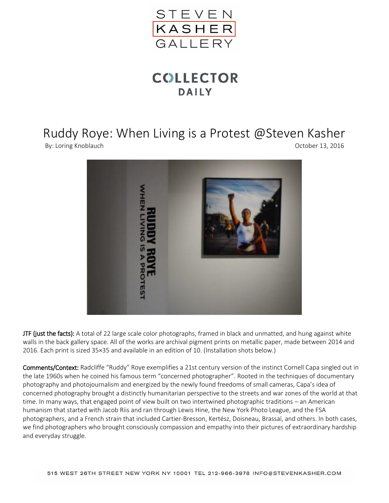

## **COLLECTOR DAILY**

## Ruddy Roye: When Living is a Protest @Steven Kasher

By: Loring Knoblauch **Department Controller Controller** Corresponding Corresponding Corresponding October 13, 2016



JTF (just the facts): A total of 22 large scale color photographs, framed in black and unmatted, and hung against white walls in the back gallery space. All of the works are archival pigment prints on metallic paper, made between 2014 and 2016. Each print is sized 35×35 and available in an edition of 10. (Installation shots below.)

Comments/Context: Radcliffe "Ruddy" Roye exemplifies a 21st century version of the instinct Cornell Capa singled out in the late 1960s when he coined his famous term "concerned photographer". Rooted in the techniques of documentary photography and photojournalism and energized by the newly found freedoms of small cameras, Capa's idea of concerned photography brought a distinctly humanitarian perspective to the streets and war zones of the world at that time. In many ways, that engaged point of view built on two intertwined photographic traditions – an American humanism that started with Jacob Riis and ran through Lewis Hine, the New York Photo League, and the FSA photographers, and a French strain that included Cartier-Bresson, Kertész, Doisneau, Brassaï, and others. In both cases, we find photographers who brought consciously compassion and empathy into their pictures of extraordinary hardship and everyday struggle.